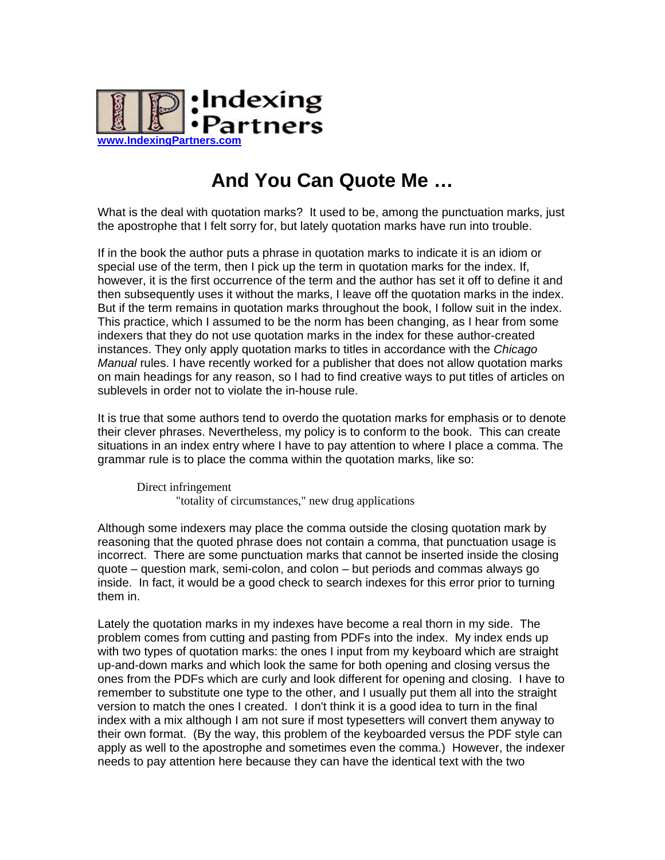

## **And You Can Quote Me …**

What is the deal with quotation marks? It used to be, among the punctuation marks, just the apostrophe that I felt sorry for, but lately quotation marks have run into trouble.

If in the book the author puts a phrase in quotation marks to indicate it is an idiom or special use of the term, then I pick up the term in quotation marks for the index. If, however, it is the first occurrence of the term and the author has set it off to define it and then subsequently uses it without the marks, I leave off the quotation marks in the index. But if the term remains in quotation marks throughout the book, I follow suit in the index. This practice, which I assumed to be the norm has been changing, as I hear from some indexers that they do not use quotation marks in the index for these author-created instances. They only apply quotation marks to titles in accordance with the *Chicago Manual* rules. I have recently worked for a publisher that does not allow quotation marks on main headings for any reason, so I had to find creative ways to put titles of articles on sublevels in order not to violate the in-house rule.

It is true that some authors tend to overdo the quotation marks for emphasis or to denote their clever phrases. Nevertheless, my policy is to conform to the book. This can create situations in an index entry where I have to pay attention to where I place a comma. The grammar rule is to place the comma within the quotation marks, like so:

Direct infringement "totality of circumstances," new drug applications

Although some indexers may place the comma outside the closing quotation mark by reasoning that the quoted phrase does not contain a comma, that punctuation usage is incorrect. There are some punctuation marks that cannot be inserted inside the closing quote – question mark, semi-colon, and colon – but periods and commas always go inside. In fact, it would be a good check to search indexes for this error prior to turning them in.

Lately the quotation marks in my indexes have become a real thorn in my side. The problem comes from cutting and pasting from PDFs into the index. My index ends up with two types of quotation marks: the ones I input from my keyboard which are straight up-and-down marks and which look the same for both opening and closing versus the ones from the PDFs which are curly and look different for opening and closing. I have to remember to substitute one type to the other, and I usually put them all into the straight version to match the ones I created. I don't think it is a good idea to turn in the final index with a mix although I am not sure if most typesetters will convert them anyway to their own format. (By the way, this problem of the keyboarded versus the PDF style can apply as well to the apostrophe and sometimes even the comma.) However, the indexer needs to pay attention here because they can have the identical text with the two